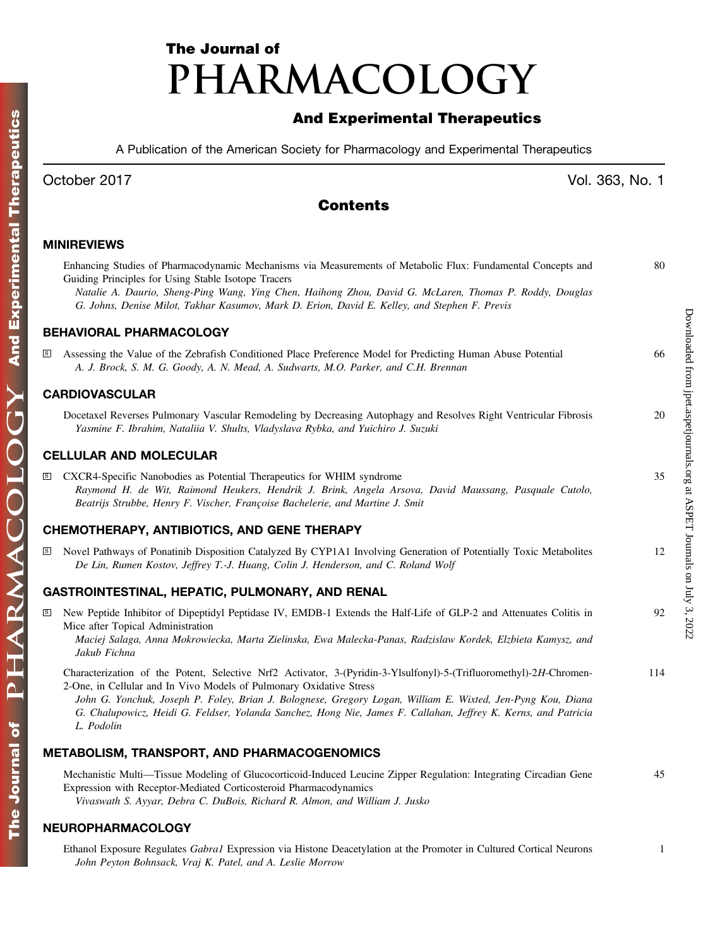# The Journal of PHARMACOLOGY

# And Experimental Therapeutics

A Publication of the American Society for Pharmacology and Experimental Therapeutics

# Contents

## MINIREVIEWS

|                         | Enhancing Studies of Pharmacodynamic Mechanisms via Measurements of Metabolic Flux: Fundamental Concepts and<br>Guiding Principles for Using Stable Isotope Tracers<br>Natalie A. Daurio, Sheng-Ping Wang, Ying Chen, Haihong Zhou, David G. McLaren, Thomas P. Roddy, Douglas<br>G. Johns, Denise Milot, Takhar Kasumov, Mark D. Erion, David E. Kelley, and Stephen F. Previs                                                          | 80  |
|-------------------------|------------------------------------------------------------------------------------------------------------------------------------------------------------------------------------------------------------------------------------------------------------------------------------------------------------------------------------------------------------------------------------------------------------------------------------------|-----|
|                         | <b>BEHAVIORAL PHARMACOLOGY</b>                                                                                                                                                                                                                                                                                                                                                                                                           |     |
| S                       | Assessing the Value of the Zebrafish Conditioned Place Preference Model for Predicting Human Abuse Potential<br>A. J. Brock, S. M. G. Goody, A. N. Mead, A. Sudwarts, M.O. Parker, and C.H. Brennan                                                                                                                                                                                                                                      | 66  |
|                         | <b>CARDIOVASCULAR</b>                                                                                                                                                                                                                                                                                                                                                                                                                    |     |
|                         | Docetaxel Reverses Pulmonary Vascular Remodeling by Decreasing Autophagy and Resolves Right Ventricular Fibrosis<br>Yasmine F. Ibrahim, Nataliia V. Shults, Vladyslava Rybka, and Yuichiro J. Suzuki                                                                                                                                                                                                                                     | 20  |
|                         | CELLULAR AND MOLECULAR                                                                                                                                                                                                                                                                                                                                                                                                                   |     |
| $\mathbf S$             | CXCR4-Specific Nanobodies as Potential Therapeutics for WHIM syndrome<br>Raymond H. de Wit, Raimond Heukers, Hendrik J. Brink, Angela Arsova, David Maussang, Pasquale Cutolo,<br>Beatrijs Strubbe, Henry F. Vischer, Françoise Bachelerie, and Martine J. Smit                                                                                                                                                                          | 35  |
|                         | CHEMOTHERAPY, ANTIBIOTICS, AND GENE THERAPY                                                                                                                                                                                                                                                                                                                                                                                              |     |
| $\mathbf{s}$            | Novel Pathways of Ponatinib Disposition Catalyzed By CYP1A1 Involving Generation of Potentially Toxic Metabolites<br>De Lin, Rumen Kostov, Jeffrey T.-J. Huang, Colin J. Henderson, and C. Roland Wolf                                                                                                                                                                                                                                   | 12  |
|                         | GASTROINTESTINAL, HEPATIC, PULMONARY, AND RENAL                                                                                                                                                                                                                                                                                                                                                                                          |     |
| $\overline{\mathbf{s}}$ | New Peptide Inhibitor of Dipeptidyl Peptidase IV, EMDB-1 Extends the Half-Life of GLP-2 and Attenuates Colitis in<br>Mice after Topical Administration<br>Maciej Salaga, Anna Mokrowiecka, Marta Zielinska, Ewa Malecka-Panas, Radzislaw Kordek, Elzbieta Kamysz, and<br>Jakub Fichna                                                                                                                                                    | 92  |
|                         | Characterization of the Potent, Selective Nrf2 Activator, 3-(Pyridin-3-Ylsulfonyl)-5-(Trifluoromethyl)-2H-Chromen-<br>2-One, in Cellular and In Vivo Models of Pulmonary Oxidative Stress<br>John G. Yonchuk, Joseph P. Foley, Brian J. Bolognese, Gregory Logan, William E. Wixted, Jen-Pyng Kou, Diana<br>G. Chalupowicz, Heidi G. Feldser, Yolanda Sanchez, Hong Nie, James F. Callahan, Jeffrey K. Kerns, and Patricia<br>L. Podolin | 114 |
|                         | METABOLISM, TRANSPORT, AND PHARMACOGENOMICS                                                                                                                                                                                                                                                                                                                                                                                              |     |
|                         | Mechanistic Multi—Tissue Modeling of Glucocorticoid-Induced Leucine Zipper Regulation: Integrating Circadian Gene<br>Expression with Receptor-Mediated Corticosteroid Pharmacodynamics<br>Vivaswath S. Ayyar, Debra C. DuBois, Richard R. Almon, and William J. Jusko                                                                                                                                                                    | 45  |
|                         | NEUROPHARMACOLOGY                                                                                                                                                                                                                                                                                                                                                                                                                        |     |
|                         | Ethanol Exposure Regulates <i>Gabral</i> Expression via Histone Deacetylation at the Promoter in Cultured Cortical Neurons                                                                                                                                                                                                                                                                                                               | 1   |

John Peyton Bohnsack, Vraj K. Patel, and A. Leslie Morrow

October 2017 **Vol. 363, No. 1**